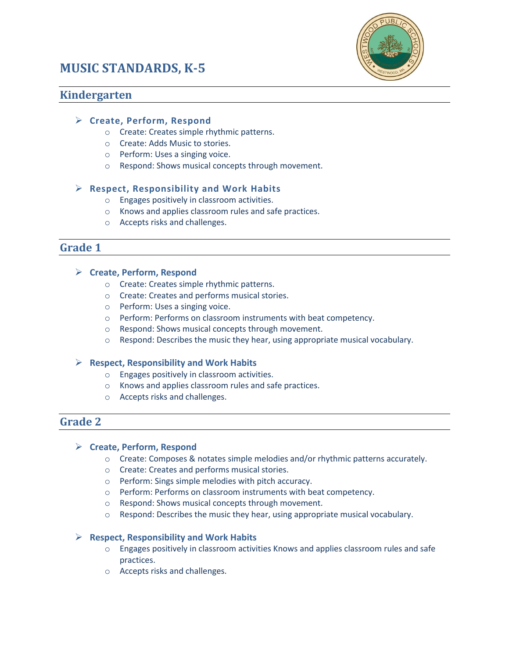# **MUSIC STANDARDS, K-5**



# **Kindergarten**

### **Create, Perform, Respond**

- o Create: Creates simple rhythmic patterns.
- o Create: Adds Music to stories.
- o Perform: Uses a singing voice.
- o Respond: Shows musical concepts through movement.

### **Respect, Responsibility and Work Habits**

- o Engages positively in classroom activities.
- o Knows and applies classroom rules and safe practices.
- o Accepts risks and challenges.

### **Grade 1**

### **Create, Perform, Respond**

- o Create: Creates simple rhythmic patterns.
- o Create: Creates and performs musical stories.
- o Perform: Uses a singing voice.
- o Perform: Performs on classroom instruments with beat competency.
- o Respond: Shows musical concepts through movement.
- o Respond: Describes the music they hear, using appropriate musical vocabulary.

### **Respect, Responsibility and Work Habits**

- o Engages positively in classroom activities.
- o Knows and applies classroom rules and safe practices.
- o Accepts risks and challenges.

# **Grade 2**

### **Create, Perform, Respond**

- o Create: Composes & notates simple melodies and/or rhythmic patterns accurately.
- o Create: Creates and performs musical stories.
- o Perform: Sings simple melodies with pitch accuracy.
- o Perform: Performs on classroom instruments with beat competency.
- o Respond: Shows musical concepts through movement.
- o Respond: Describes the music they hear, using appropriate musical vocabulary.

### **Respect, Responsibility and Work Habits**

- o Engages positively in classroom activities Knows and applies classroom rules and safe practices.
- o Accepts risks and challenges.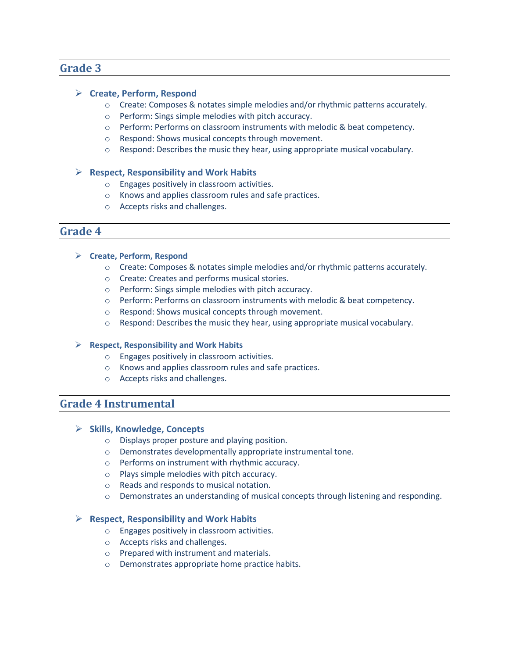# **Grade 3**

### **Create, Perform, Respond**

- o Create: Composes & notates simple melodies and/or rhythmic patterns accurately.
- o Perform: Sings simple melodies with pitch accuracy.
- o Perform: Performs on classroom instruments with melodic & beat competency.
- o Respond: Shows musical concepts through movement.
- o Respond: Describes the music they hear, using appropriate musical vocabulary.

#### **Respect, Responsibility and Work Habits**

- o Engages positively in classroom activities.
- o Knows and applies classroom rules and safe practices.
- o Accepts risks and challenges.

### **Grade 4**

- **Create, Perform, Respond**
	- o Create: Composes & notates simple melodies and/or rhythmic patterns accurately.
	- o Create: Creates and performs musical stories.
	- o Perform: Sings simple melodies with pitch accuracy.
	- o Perform: Performs on classroom instruments with melodic & beat competency.
	- o Respond: Shows musical concepts through movement.
	- o Respond: Describes the music they hear, using appropriate musical vocabulary.

#### **Respect, Responsibility and Work Habits**

- o Engages positively in classroom activities.
- o Knows and applies classroom rules and safe practices.
- o Accepts risks and challenges.

# **Grade 4 Instrumental**

### **Skills, Knowledge, Concepts**

- o Displays proper posture and playing position.
- o Demonstrates developmentally appropriate instrumental tone.
- o Performs on instrument with rhythmic accuracy.
- o Plays simple melodies with pitch accuracy.
- o Reads and responds to musical notation.
- o Demonstrates an understanding of musical concepts through listening and responding.

### **Respect, Responsibility and Work Habits**

- o Engages positively in classroom activities.
- o Accepts risks and challenges.
- o Prepared with instrument and materials.
- o Demonstrates appropriate home practice habits.